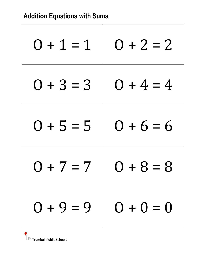| $0 + 1 = 1$ | $0 + 2 = 2$ |
|-------------|-------------|
| $0 + 3 = 3$ | $0 + 4 = 4$ |
| $0 + 5 = 5$ | $0 + 6 = 6$ |
| $0 + 7 = 7$ | $+8=8$      |
| $0 + 9 = 9$ | $0 + 0 = 0$ |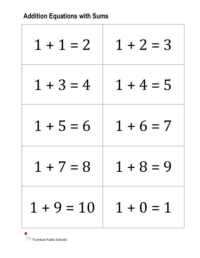| $1 + 1 = 2$  | $1 + 2 = 3$ |
|--------------|-------------|
| $1 + 3 = 4$  | $1 + 4 = 5$ |
| $1 + 5 = 6$  | $1 + 6 = 7$ |
| $+7=8$       | + 8 = 9     |
| $1 + 9 = 10$ | $1 + 0 = 1$ |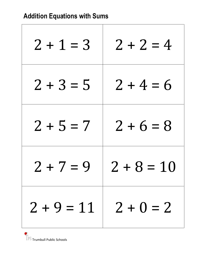| $2 + 1 = 3$                | $2 + 2 = 4$      |
|----------------------------|------------------|
| $2 + 3 = 5$                | $2 + 4 = 6$      |
| $2 + 5 = 7$                | $2 + 6 = 8$      |
| $2 + 7 = 9$                | $2 + 8$<br>$=10$ |
| $2 + 9 = 11$   $2 + 0 = 2$ |                  |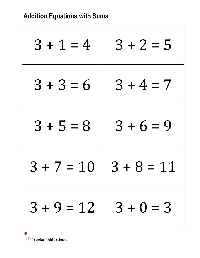| $3 + 1 = 4$    | $3 + 2 = 5$              |
|----------------|--------------------------|
| $3 + 3 = 6$    | $3 + 4 = 7$              |
| $3 + 5 = 8$    | $3 + 6 = 9$              |
| $3 + 7$<br>$=$ | $+8$<br>$3 \,$<br>$= 11$ |
| $3 + 9 = 12$   | $3 + 0 = 3$              |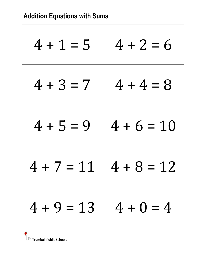| $4 + 1 = 5$  | $4 + 2 = 6$       |
|--------------|-------------------|
| $4 + 3 = 7$  | $4 + 4 = 8$       |
| $4 + 5 = 9$  | $4 + 6 = 10$      |
| $4 + 7 =$    | $4 + 8$<br>$= 12$ |
| $4 + 9 = 13$ | $4 + 0 = 4$       |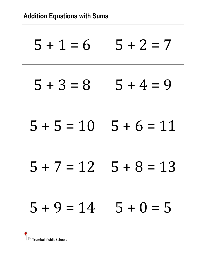| $5 + 1 = 6$       | $5 + 2 = 7$       |
|-------------------|-------------------|
| $5 + 3 = 8$       | $5 + 4 = 9$       |
| $5 + 5 = 10$      | $5 + 6 = 11$      |
| $5 + 7$<br>$= 12$ | $5 + 8$<br>$= 13$ |
| $5 + 9 = 14$      | $5 + 0 = 5$       |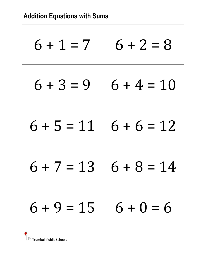| $6 + 1 = 7$            | $6 + 2 = 8$       |
|------------------------|-------------------|
| $6 + 3 = 9$            | $6 + 4 = 10$      |
| $6 + 5 = 11$           | $6 + 6 = 12$      |
| $6 + 7 = 13$           | $6 + 8$<br>$= 14$ |
| $6 + 9 = 15$ 6 + 0 = 6 |                   |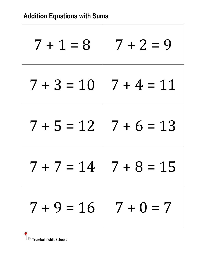| $7 + 1 = 8$                 | $7 + 2 = 9$       |
|-----------------------------|-------------------|
| $7 + 3 = 10$                | $7 + 4 = 11$      |
| $7 + 5 = 12$   $7 + 6 = 13$ |                   |
| $7 + 7 = 14$                | $7 + 8$<br>$= 15$ |
| $7 + 9 = 16$   $7 + 0 = 7$  |                   |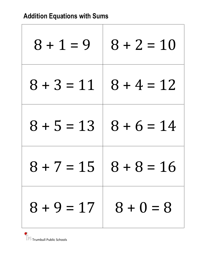| $8 + 1 = 9$  | $8 + 2 = 10$                |
|--------------|-----------------------------|
| $8 + 3 = 11$ | $8 + 4 = 12$                |
|              | $8 + 5 = 13$   $8 + 6 = 14$ |
| $8 + 7 = 15$ | $8 + 8$<br>$= 16$           |
| $8 + 9 = 17$ | $8 + 0 = 8$                 |